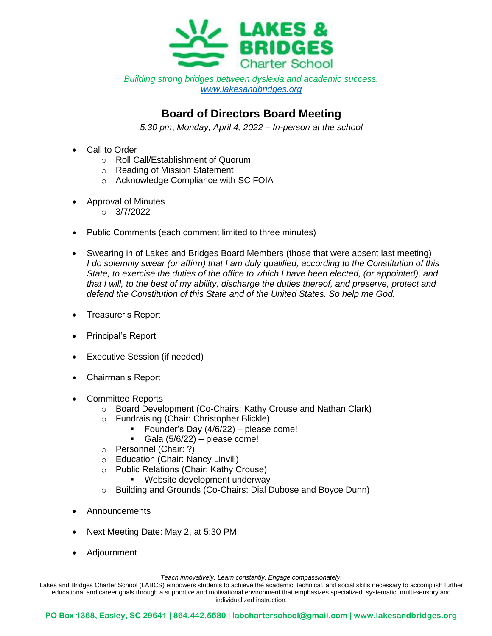

*Building strong bridges between dyslexia and academic success. [www.lakesandbridges.org](http://www.lakesandbridges.org/)*

## **Board of Directors Board Meeting**

*5:30 pm*, *Monday, April 4, 2022 – In-person at the school*

- **Call to Order** 
	- o Roll Call/Establishment of Quorum
	- o Reading of Mission Statement
	- o Acknowledge Compliance with SC FOIA
- Approval of Minutes
	- $O = 3/7/2022$
- Public Comments (each comment limited to three minutes)
- Swearing in of Lakes and Bridges Board Members (those that were absent last meeting) *I do solemnly swear (or affirm) that I am duly qualified, according to the Constitution of this State, to exercise the duties of the office to which I have been elected, (or appointed), and that I will, to the best of my ability, discharge the duties thereof, and preserve, protect and defend the Constitution of this State and of the United States. So help me God.*
- Treasurer's Report
- Principal's Report
- Executive Session (if needed)
- Chairman's Report
- Committee Reports
	- o Board Development (Co-Chairs: Kathy Crouse and Nathan Clark)
	- o Fundraising (Chair: Christopher Blickle)
		- Founder's Day (4/6/22) please come!
		- $\blacksquare$  Gala (5/6/22) please come!
	- o Personnel (Chair: ?)
	- o Education (Chair: Nancy Linvill)
	- o Public Relations (Chair: Kathy Crouse)
		- **EXEC** Website development underway
	- o Building and Grounds (Co-Chairs: Dial Dubose and Boyce Dunn)
- Announcements
- Next Meeting Date: May 2, at 5:30 PM
- Adjournment

*Teach innovatively. Learn constantly. Engage compassionately*.

Lakes and Bridges Charter School (LABCS) empowers students to achieve the academic, technical, and social skills necessary to accomplish further educational and career goals through a supportive and motivational environment that emphasizes specialized, systematic, multi-sensory and individualized instruction.